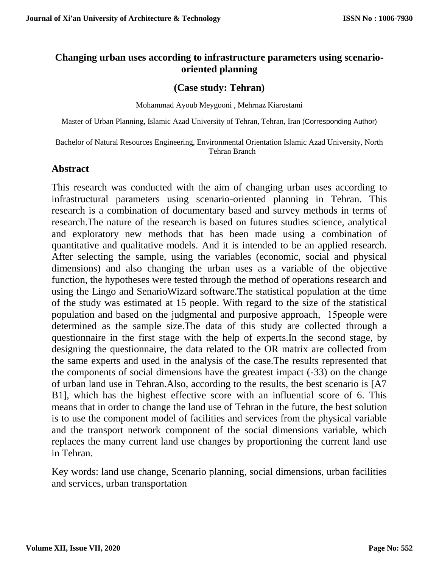# **Changing urban uses according to infrastructure parameters using scenariooriented planning**

# **(Case study: Tehran)**

Mohammad Ayoub Meygooni , Mehrnaz Kiarostami

Master of Urban Planning, Islamic Azad University of Tehran, Tehran, Iran (Corresponding Author)

Bachelor of Natural Resources Engineering, Environmental Orientation Islamic Azad University, North Tehran Branch

# **Abstract**

This research was conducted with the aim of changing urban uses according to infrastructural parameters using scenario-oriented planning in Tehran. This research is a combination of documentary based and survey methods in terms of research.The nature of the research is based on futures studies science, analytical and exploratory new methods that has been made using a combination of quantitative and qualitative models. And it is intended to be an applied research. After selecting the sample, using the variables (economic, social and physical dimensions) and also changing the urban uses as a variable of the objective function, the hypotheses were tested through the method of operations research and using the Lingo and SenarioWizard software.The statistical population at the time of the study was estimated at 15 people. With regard to the size of the statistical population and based on the judgmental and purposive approach, 15people were determined as the sample size.The data of this study are collected through a questionnaire in the first stage with the help of experts.In the second stage, by designing the questionnaire, the data related to the OR matrix are collected from the same experts and used in the analysis of the case.The results represented that the components of social dimensions have the greatest impact (-33) on the change of urban land use in Tehran.Also, according to the results, the best scenario is [A7 B1], which has the highest effective score with an influential score of 6. This means that in order to change the land use of Tehran in the future, the best solution is to use the component model of facilities and services from the physical variable and the transport network component of the social dimensions variable, which replaces the many current land use changes by proportioning the current land use in Tehran.

Key words: land use change, Scenario planning, social dimensions, urban facilities and services, urban transportation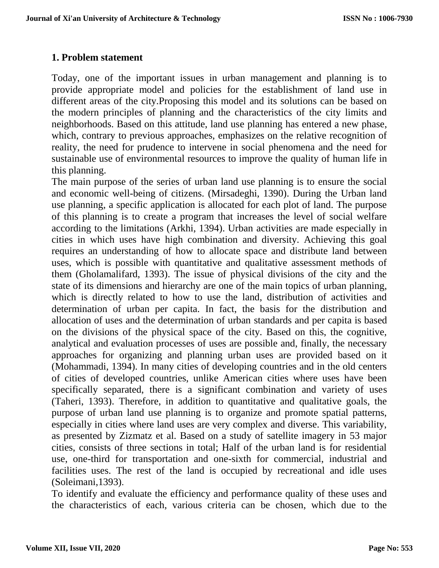## **1. Problem statement**

Today, one of the important issues in urban management and planning is to provide appropriate model and policies for the establishment of land use in different areas of the city.Proposing this model and its solutions can be based on the modern principles of planning and the characteristics of the city limits and neighborhoods. Based on this attitude, land use planning has entered a new phase, which, contrary to previous approaches, emphasizes on the relative recognition of reality, the need for prudence to intervene in social phenomena and the need for sustainable use of environmental resources to improve the quality of human life in this planning.

The main purpose of the series of urban land use planning is to ensure the social and economic well-being of citizens. (Mirsadeghi, 1390). During the Urban land use planning, a specific application is allocated for each plot of land. The purpose of this planning is to create a program that increases the level of social welfare according to the limitations (Arkhi, 1394). Urban activities are made especially in cities in which uses have high combination and diversity. Achieving this goal requires an understanding of how to allocate space and distribute land between uses, which is possible with quantitative and qualitative assessment methods of them (Gholamalifard, 1393). The issue of physical divisions of the city and the state of its dimensions and hierarchy are one of the main topics of urban planning, which is directly related to how to use the land, distribution of activities and determination of urban per capita. In fact, the basis for the distribution and allocation of uses and the determination of urban standards and per capita is based on the divisions of the physical space of the city. Based on this, the cognitive, analytical and evaluation processes of uses are possible and, finally, the necessary approaches for organizing and planning urban uses are provided based on it (Mohammadi, 1394). In many cities of developing countries and in the old centers of cities of developed countries, unlike American cities where uses have been specifically separated, there is a significant combination and variety of uses (Taheri, 1393). Therefore, in addition to quantitative and qualitative goals, the purpose of urban land use planning is to organize and promote spatial patterns, especially in cities where land uses are very complex and diverse. This variability, as presented by Zizmatz et al. Based on a study of satellite imagery in 53 major cities, consists of three sections in total; Half of the urban land is for residential use, one-third for transportation and one-sixth for commercial, industrial and facilities uses. The rest of the land is occupied by recreational and idle uses (Soleimani,1393).

To identify and evaluate the efficiency and performance quality of these uses and the characteristics of each, various criteria can be chosen, which due to the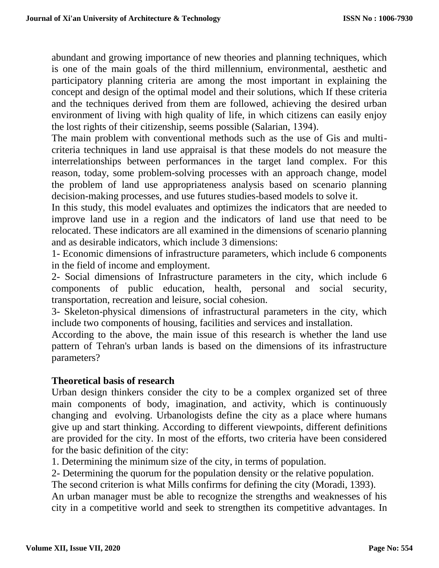abundant and growing importance of new theories and planning techniques, which is one of the main goals of the third millennium, environmental, aesthetic and participatory planning criteria are among the most important in explaining the concept and design of the optimal model and their solutions, which If these criteria and the techniques derived from them are followed, achieving the desired urban environment of living with high quality of life, in which citizens can easily enjoy the lost rights of their citizenship, seems possible (Salarian, 1394).

The main problem with conventional methods such as the use of Gis and multicriteria techniques in land use appraisal is that these models do not measure the interrelationships between performances in the target land complex. For this reason, today, some problem-solving processes with an approach change, model the problem of land use appropriateness analysis based on scenario planning decision-making processes, and use futures studies-based models to solve it.

In this study, this model evaluates and optimizes the indicators that are needed to improve land use in a region and the indicators of land use that need to be relocated. These indicators are all examined in the dimensions of scenario planning and as desirable indicators, which include 3 dimensions:

1- Economic dimensions of infrastructure parameters, which include 6 components in the field of income and employment.

2- Social dimensions of Infrastructure parameters in the city, which include 6 components of public education, health, personal and social security, transportation, recreation and leisure, social cohesion.

3- Skeleton-physical dimensions of infrastructural parameters in the city, which include two components of housing, facilities and services and installation.

According to the above, the main issue of this research is whether the land use pattern of Tehran's urban lands is based on the dimensions of its infrastructure parameters?

# **Theoretical basis of research**

Urban design thinkers consider the city to be a complex organized set of three main components of body, imagination, and activity, which is continuously changing and evolving. Urbanologists define the city as a place where humans give up and start thinking. According to different viewpoints, different definitions are provided for the city. In most of the efforts, two criteria have been considered for the basic definition of the city:

1. Determining the minimum size of the city, in terms of population.

2- Determining the quorum for the population density or the relative population.

The second criterion is what Mills confirms for defining the city (Moradi, 1393).

An urban manager must be able to recognize the strengths and weaknesses of his city in a competitive world and seek to strengthen its competitive advantages. In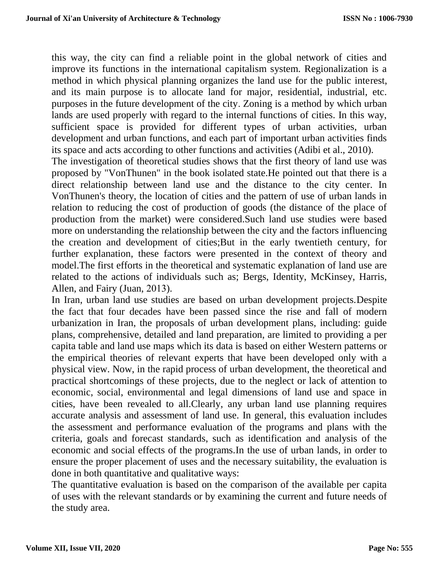this way, the city can find a reliable point in the global network of cities and improve its functions in the international capitalism system. Regionalization is a method in which physical planning organizes the land use for the public interest, and its main purpose is to allocate land for major, residential, industrial, etc. purposes in the future development of the city. Zoning is a method by which urban lands are used properly with regard to the internal functions of cities. In this way, sufficient space is provided for different types of urban activities, urban development and urban functions, and each part of important urban activities finds its space and acts according to other functions and activities (Adibi et al., 2010).

The investigation of theoretical studies shows that the first theory of land use was proposed by "VonThunen" in the book isolated state.He pointed out that there is a direct relationship between land use and the distance to the city center. In VonThunen's theory, the location of cities and the pattern of use of urban lands in relation to reducing the cost of production of goods (the distance of the place of production from the market) were considered.Such land use studies were based more on understanding the relationship between the city and the factors influencing the creation and development of cities;But in the early twentieth century, for further explanation, these factors were presented in the context of theory and model.The first efforts in the theoretical and systematic explanation of land use are related to the actions of individuals such as; Bergs, Identity, McKinsey, Harris, Allen, and Fairy (Juan, 2013).

In Iran, urban land use studies are based on urban development projects.Despite the fact that four decades have been passed since the rise and fall of modern urbanization in Iran, the proposals of urban development plans, including: guide plans, comprehensive, detailed and land preparation, are limited to providing a per capita table and land use maps which its data is based on either Western patterns or the empirical theories of relevant experts that have been developed only with a physical view. Now, in the rapid process of urban development, the theoretical and practical shortcomings of these projects, due to the neglect or lack of attention to economic, social, environmental and legal dimensions of land use and space in cities, have been revealed to all.Clearly, any urban land use planning requires accurate analysis and assessment of land use. In general, this evaluation includes the assessment and performance evaluation of the programs and plans with the criteria, goals and forecast standards, such as identification and analysis of the economic and social effects of the programs.In the use of urban lands, in order to ensure the proper placement of uses and the necessary suitability, the evaluation is done in both quantitative and qualitative ways:

The quantitative evaluation is based on the comparison of the available per capita of uses with the relevant standards or by examining the current and future needs of the study area.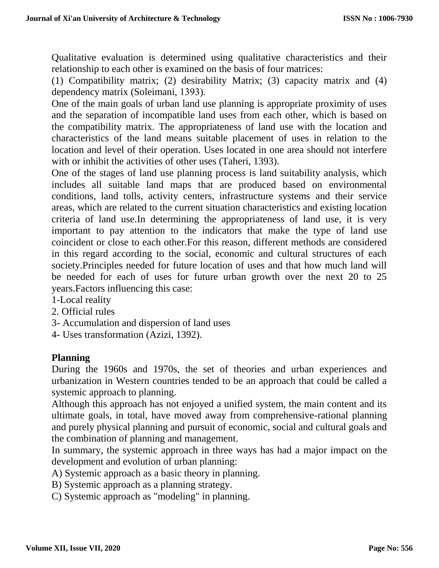Qualitative evaluation is determined using qualitative characteristics and their relationship to each other is examined on the basis of four matrices:

(1) Compatibility matrix; (2) desirability Matrix; (3) capacity matrix and (4) dependency matrix (Soleimani, 1393).

One of the main goals of urban land use planning is appropriate proximity of uses and the separation of incompatible land uses from each other, which is based on the compatibility matrix. The appropriateness of land use with the location and characteristics of the land means suitable placement of uses in relation to the location and level of their operation. Uses located in one area should not interfere with or inhibit the activities of other uses (Taheri, 1393).

One of the stages of land use planning process is land suitability analysis, which includes all suitable land maps that are produced based on environmental conditions, land tolls, activity centers, infrastructure systems and their service areas, which are related to the current situation characteristics and existing location criteria of land use.In determining the appropriateness of land use, it is very important to pay attention to the indicators that make the type of land use coincident or close to each other.For this reason, different methods are considered in this regard according to the social, economic and cultural structures of each society.Principles needed for future location of uses and that how much land will be needed for each of uses for future urban growth over the next 20 to 25 years.Factors influencing this case:

1-Local reality

- 2. Official rules
- 3- Accumulation and dispersion of land uses
- 4- Uses transformation (Azizi, 1392).

## **Planning**

During the 1960s and 1970s, the set of theories and urban experiences and urbanization in Western countries tended to be an approach that could be called a systemic approach to planning.

Although this approach has not enjoyed a unified system, the main content and its ultimate goals, in total, have moved away from comprehensive-rational planning and purely physical planning and pursuit of economic, social and cultural goals and the combination of planning and management.

In summary, the systemic approach in three ways has had a major impact on the development and evolution of urban planning:

A) Systemic approach as a basic theory in planning.

B) Systemic approach as a planning strategy.

C) Systemic approach as "modeling" in planning.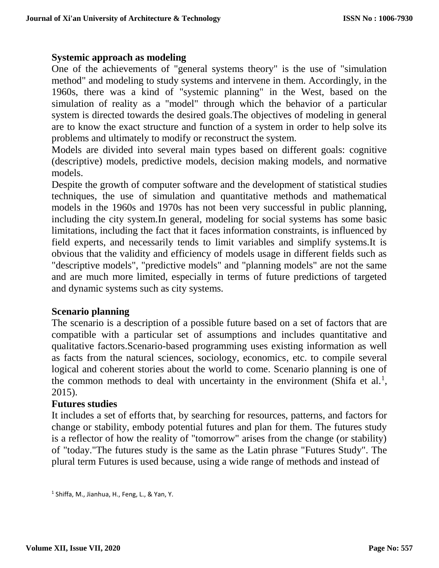## **Systemic approach as modeling**

One of the achievements of "general systems theory" is the use of "simulation method" and modeling to study systems and intervene in them. Accordingly, in the 1960s, there was a kind of "systemic planning" in the West, based on the simulation of reality as a "model" through which the behavior of a particular system is directed towards the desired goals.The objectives of modeling in general are to know the exact structure and function of a system in order to help solve its problems and ultimately to modify or reconstruct the system.

Models are divided into several main types based on different goals: cognitive (descriptive) models, predictive models, decision making models, and normative models.

Despite the growth of computer software and the development of statistical studies techniques, the use of simulation and quantitative methods and mathematical models in the 1960s and 1970s has not been very successful in public planning, including the city system.In general, modeling for social systems has some basic limitations, including the fact that it faces information constraints, is influenced by field experts, and necessarily tends to limit variables and simplify systems.It is obvious that the validity and efficiency of models usage in different fields such as "descriptive models", "predictive models" and "planning models" are not the same and are much more limited, especially in terms of future predictions of targeted and dynamic systems such as city systems.

## **Scenario planning**

The scenario is a description of a possible future based on a set of factors that are compatible with a particular set of assumptions and includes quantitative and qualitative factors.Scenario-based programming uses existing information as well as facts from the natural sciences, sociology, economics, etc. to compile several logical and coherent stories about the world to come. Scenario planning is one of the common methods to deal with uncertainty in the environment (Shifa et al.<sup>1</sup>, 2015).

#### **Futures studies**

It includes a set of efforts that, by searching for resources, patterns, and factors for change or stability, embody potential futures and plan for them. The futures study is a reflector of how the reality of "tomorrow" arises from the change (or stability) of "today."The futures study is the same as the Latin phrase "Futures Study". The plural term Futures is used because, using a wide range of methods and instead of

<sup>&</sup>lt;sup>1</sup> Shiffa, M., Jianhua, H., Feng, L., & Yan, Y.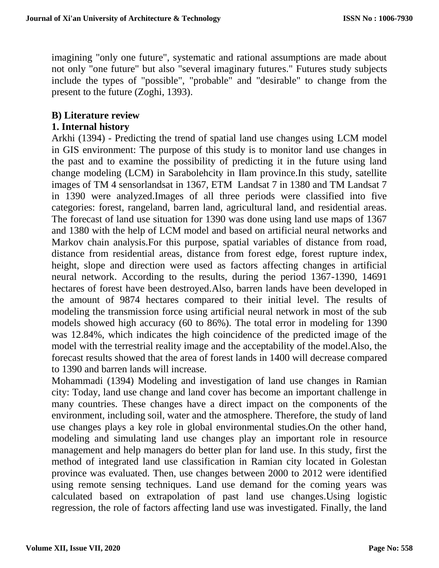imagining "only one future", systematic and rational assumptions are made about not only "one future" but also "several imaginary futures." Futures study subjects include the types of "possible", "probable" and "desirable" to change from the present to the future (Zoghi, 1393).

# **B) Literature review**

# **1. Internal history**

Arkhi (1394) - Predicting the trend of spatial land use changes using LCM model in GIS environment: The purpose of this study is to monitor land use changes in the past and to examine the possibility of predicting it in the future using land change modeling (LCM) in Sarabolehcity in Ilam province.In this study, satellite images of TM 4 sensorlandsat in 1367, ETM Landsat 7 in 1380 and TM Landsat 7 in 1390 were analyzed.Images of all three periods were classified into five categories: forest, rangeland, barren land, agricultural land, and residential areas. The forecast of land use situation for 1390 was done using land use maps of 1367 and 1380 with the help of LCM model and based on artificial neural networks and Markov chain analysis.For this purpose, spatial variables of distance from road, distance from residential areas, distance from forest edge, forest rupture index, height, slope and direction were used as factors affecting changes in artificial neural network. According to the results, during the period 1367-1390, 14691 hectares of forest have been destroyed.Also, barren lands have been developed in the amount of 9874 hectares compared to their initial level. The results of modeling the transmission force using artificial neural network in most of the sub models showed high accuracy (60 to 86%). The total error in modeling for 1390 was 12.84%, which indicates the high coincidence of the predicted image of the model with the terrestrial reality image and the acceptability of the model.Also, the forecast results showed that the area of forest lands in 1400 will decrease compared to 1390 and barren lands will increase.

Mohammadi (1394) Modeling and investigation of land use changes in Ramian city: Today, land use change and land cover has become an important challenge in many countries. These changes have a direct impact on the components of the environment, including soil, water and the atmosphere. Therefore, the study of land use changes plays a key role in global environmental studies.On the other hand, modeling and simulating land use changes play an important role in resource management and help managers do better plan for land use. In this study, first the method of integrated land use classification in Ramian city located in Golestan province was evaluated. Then, use changes between 2000 to 2012 were identified using remote sensing techniques. Land use demand for the coming years was calculated based on extrapolation of past land use changes.Using logistic regression, the role of factors affecting land use was investigated. Finally, the land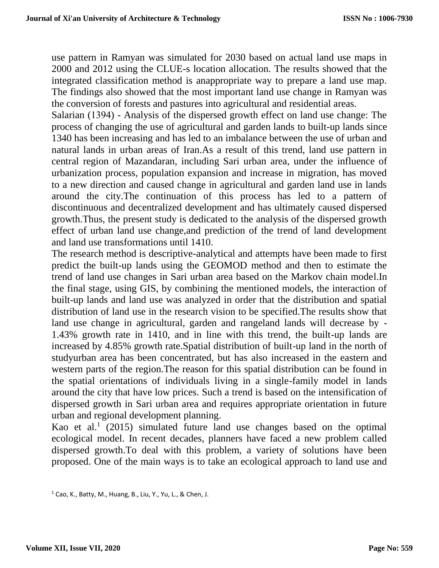use pattern in Ramyan was simulated for 2030 based on actual land use maps in 2000 and 2012 using the CLUE-s location allocation. The results showed that the integrated classification method is anappropriate way to prepare a land use map. The findings also showed that the most important land use change in Ramyan was the conversion of forests and pastures into agricultural and residential areas.

Salarian (1394) - Analysis of the dispersed growth effect on land use change: The process of changing the use of agricultural and garden lands to built-up lands since 1340 has been increasing and has led to an imbalance between the use of urban and natural lands in urban areas of Iran.As a result of this trend, land use pattern in central region of Mazandaran, including Sari urban area, under the influence of urbanization process, population expansion and increase in migration, has moved to a new direction and caused change in agricultural and garden land use in lands around the city.The continuation of this process has led to a pattern of discontinuous and decentralized development and has ultimately caused dispersed growth.Thus, the present study is dedicated to the analysis of the dispersed growth effect of urban land use change,and prediction of the trend of land development and land use transformations until 1410.

The research method is descriptive-analytical and attempts have been made to first predict the built-up lands using the GEOMOD method and then to estimate the trend of land use changes in Sari urban area based on the Markov chain model.In the final stage, using GIS, by combining the mentioned models, the interaction of built-up lands and land use was analyzed in order that the distribution and spatial distribution of land use in the research vision to be specified.The results show that land use change in agricultural, garden and rangeland lands will decrease by - 1.43% growth rate in 1410, and in line with this trend, the built-up lands are increased by 4.85% growth rate.Spatial distribution of built-up land in the north of studyurban area has been concentrated, but has also increased in the eastern and western parts of the region.The reason for this spatial distribution can be found in the spatial orientations of individuals living in a single-family model in lands around the city that have low prices. Such a trend is based on the intensification of dispersed growth in Sari urban area and requires appropriate orientation in future urban and regional development planning.

Kao et al.<sup>1</sup> (2015) simulated future land use changes based on the optimal ecological model. In recent decades, planners have faced a new problem called dispersed growth.To deal with this problem, a variety of solutions have been proposed. One of the main ways is to take an ecological approach to land use and

 $1$  Cao, K., Batty, M., Huang, B., Liu, Y., Yu, L., & Chen, J.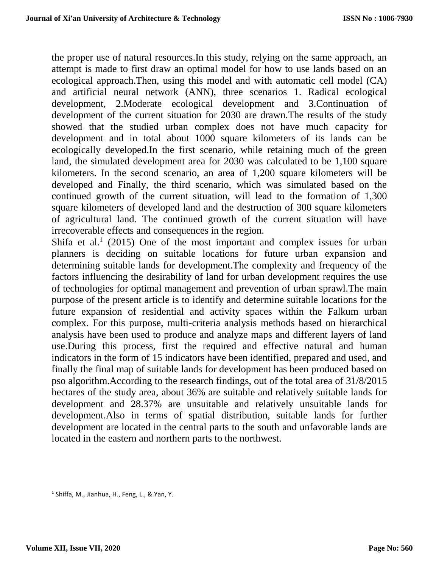the proper use of natural resources.In this study, relying on the same approach, an attempt is made to first draw an optimal model for how to use lands based on an ecological approach.Then, using this model and with automatic cell model (CA) and artificial neural network (ANN), three scenarios 1. Radical ecological development, 2.Moderate ecological development and 3.Continuation of development of the current situation for 2030 are drawn.The results of the study showed that the studied urban complex does not have much capacity for development and in total about 1000 square kilometers of its lands can be ecologically developed.In the first scenario, while retaining much of the green land, the simulated development area for 2030 was calculated to be 1,100 square kilometers. In the second scenario, an area of 1,200 square kilometers will be developed and Finally, the third scenario, which was simulated based on the continued growth of the current situation, will lead to the formation of 1,300 square kilometers of developed land and the destruction of 300 square kilometers of agricultural land. The continued growth of the current situation will have irrecoverable effects and consequences in the region.

Shifa et al.<sup>1</sup> (2015) One of the most important and complex issues for urban planners is deciding on suitable locations for future urban expansion and determining suitable lands for development.The complexity and frequency of the factors influencing the desirability of land for urban development requires the use of technologies for optimal management and prevention of urban sprawl.The main purpose of the present article is to identify and determine suitable locations for the future expansion of residential and activity spaces within the Falkum urban complex. For this purpose, multi-criteria analysis methods based on hierarchical analysis have been used to produce and analyze maps and different layers of land use.During this process, first the required and effective natural and human indicators in the form of 15 indicators have been identified, prepared and used, and finally the final map of suitable lands for development has been produced based on pso algorithm.According to the research findings, out of the total area of 31/8/2015 hectares of the study area, about 36% are suitable and relatively suitable lands for development and 28.37% are unsuitable and relatively unsuitable lands for development.Also in terms of spatial distribution, suitable lands for further development are located in the central parts to the south and unfavorable lands are located in the eastern and northern parts to the northwest.

<sup>1</sup> Shiffa, M., Jianhua, H., Feng, L., & Yan, Y.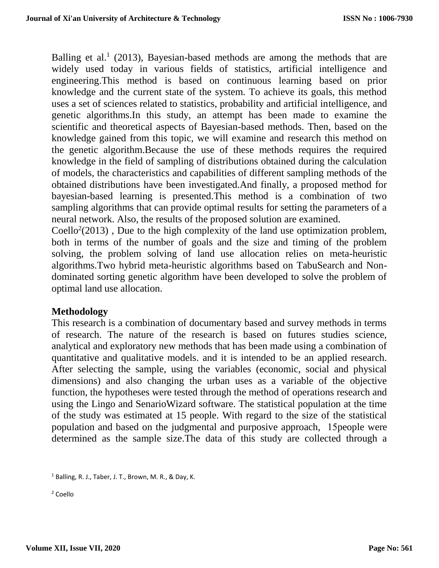Balling et al.<sup>1</sup> (2013), Bayesian-based methods are among the methods that are widely used today in various fields of statistics, artificial intelligence and engineering.This method is based on continuous learning based on prior knowledge and the current state of the system. To achieve its goals, this method uses a set of sciences related to statistics, probability and artificial intelligence, and genetic algorithms.In this study, an attempt has been made to examine the scientific and theoretical aspects of Bayesian-based methods. Then, based on the knowledge gained from this topic, we will examine and research this method on the genetic algorithm.Because the use of these methods requires the required knowledge in the field of sampling of distributions obtained during the calculation of models, the characteristics and capabilities of different sampling methods of the obtained distributions have been investigated.And finally, a proposed method for bayesian-based learning is presented.This method is a combination of two sampling algorithms that can provide optimal results for setting the parameters of a neural network. Also, the results of the proposed solution are examined.

Coello<sup>2</sup>(2013), Due to the high complexity of the land use optimization problem, both in terms of the number of goals and the size and timing of the problem solving, the problem solving of land use allocation relies on meta-heuristic algorithms.Two hybrid meta-heuristic algorithms based on TabuSearch and Nondominated sorting genetic algorithm have been developed to solve the problem of optimal land use allocation.

## **Methodology**

This research is a combination of documentary based and survey methods in terms of research. The nature of the research is based on futures studies science, analytical and exploratory new methods that has been made using a combination of quantitative and qualitative models. and it is intended to be an applied research. After selecting the sample, using the variables (economic, social and physical dimensions) and also changing the urban uses as a variable of the objective function, the hypotheses were tested through the method of operations research and using the Lingo and SenarioWizard software. The statistical population at the time of the study was estimated at 15 people. With regard to the size of the statistical population and based on the judgmental and purposive approach, 15people were determined as the sample size.The data of this study are collected through a

<sup>2</sup> Coello

 $1$  Balling, R. J., Taber, J. T., Brown, M. R., & Day, K.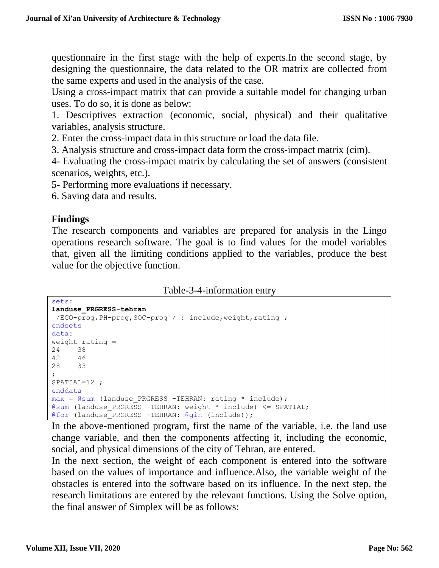questionnaire in the first stage with the help of experts.In the second stage, by designing the questionnaire, the data related to the OR matrix are collected from the same experts and used in the analysis of the case.

Using a cross-impact matrix that can provide a suitable model for changing urban uses. To do so, it is done as below:

1. Descriptives extraction (economic, social, physical) and their qualitative variables, analysis structure.

2. Enter the cross-impact data in this structure or load the data file.

3. Analysis structure and cross-impact data form the cross-impact matrix (cim).

4- Evaluating the cross-impact matrix by calculating the set of answers (consistent scenarios, weights, etc.).

5- Performing more evaluations if necessary.

6. Saving data and results.

#### **Findings**

The research components and variables are prepared for analysis in the Lingo operations research software. The goal is to find values for the model variables that, given all the limiting conditions applied to the variables, produce the best value for the objective function.

Table-3-4-information entry

```
sets:
landuse_PRGRESS-tehran
\overline{C} /ECO-prog, PH-prog, SOC-prog / : include, weight, rating ;
endsets
data:
weight rating =
24 38
42 46
28 33
;
SPATIAL=12 ;
enddata
max = @sum (landuse PRGRESS -TEHRAN: rating * include);
@sum (landuse PRGRESS -TEHRAN: weight * include) \leq SPATIAL;
@for (landuse_PRGRESS -TEHRAN: @gin (include));
```
In the above-mentioned program, first the name of the variable, i.e. the land use change variable, and then the components affecting it, including the economic, social, and physical dimensions of the city of Tehran, are entered.

In the next section, the weight of each component is entered into the software based on the values of importance and influence.Also, the variable weight of the obstacles is entered into the software based on its influence. In the next step, the research limitations are entered by the relevant functions. Using the Solve option, the final answer of Simplex will be as follows: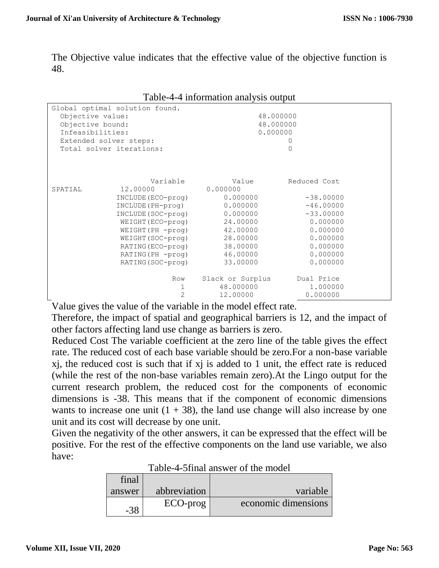The Objective value indicates that the effective value of the objective function is 48.

|                                |                          | racio i information analysis output |              |  |
|--------------------------------|--------------------------|-------------------------------------|--------------|--|
| Global optimal solution found. |                          |                                     |              |  |
| Objective value:               |                          | 48.000000                           |              |  |
| Objective bound:               |                          | 48.000000                           |              |  |
| Infeasibilities:               |                          | 0.000000                            |              |  |
| Extended solver steps:         |                          |                                     | $\circ$      |  |
|                                | Total solver iterations: |                                     | $\Omega$     |  |
|                                |                          |                                     |              |  |
|                                |                          |                                     |              |  |
|                                | Variable                 | Value                               | Reduced Cost |  |
| SPATIAL                        | 12,00000                 | 0.000000                            |              |  |
|                                |                          |                                     |              |  |
|                                | INCLUDE (ECO-prog)       | 0.000000                            | $-38,00000$  |  |
|                                | INCLUDE (PH-proq)        | 0.000000                            | $-46.00000$  |  |
|                                | INCLUDE (SOC-prog)       | 0.000000                            | $-33.00000$  |  |
|                                | WEIGHT (ECO-prog)        | 24.00000                            | 0.000000     |  |
|                                | WEIGHT (PH -prog)        | 42.00000                            | 0.000000     |  |
|                                | WEIGHT (SOC-prog)        | 28.00000                            | 0.000000     |  |
|                                | RATING (ECO-prog)        | 38.00000                            | 0.000000     |  |
|                                | RATING (PH -prog)        | 46.00000                            | 0.000000     |  |
|                                | RATING (SOC-prog)        | 33.00000                            | 0.000000     |  |
|                                | Row                      | Slack or Surplus Dual Price         |              |  |
|                                | 1                        | 48.000000                           | 1.000000     |  |
|                                | $\overline{2}$           | 12.00000                            | 0.000000     |  |
|                                |                          |                                     |              |  |

#### Table-4-4 information analysis output

Value gives the value of the variable in the model effect rate.

Therefore, the impact of spatial and geographical barriers is 12, and the impact of other factors affecting land use change as barriers is zero.

Reduced Cost The variable coefficient at the zero line of the table gives the effect rate. The reduced cost of each base variable should be zero.For a non-base variable xj, the reduced cost is such that if xj is added to 1 unit, the effect rate is reduced (while the rest of the non-base variables remain zero).At the Lingo output for the current research problem, the reduced cost for the components of economic dimensions is -38. This means that if the component of economic dimensions wants to increase one unit  $(1 + 38)$ , the land use change will also increase by one unit and its cost will decrease by one unit.

Given the negativity of the other answers, it can be expressed that the effect will be positive. For the rest of the effective components on the land use variable, we also have:

| final  |              |                     |  |
|--------|--------------|---------------------|--|
| answer | abbreviation | variable            |  |
|        | ECO-prog     | economic dimensions |  |

| Table-4-5final answer of the model |  |  |
|------------------------------------|--|--|
|                                    |  |  |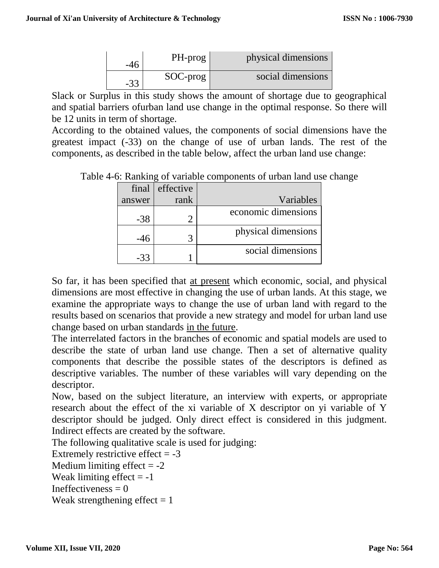|    | PH-prog     | physical dimensions |
|----|-------------|---------------------|
| າາ | $SOC$ -prog | social dimensions   |

Slack or Surplus in this study shows the amount of shortage due to geographical and spatial barriers ofurban land use change in the optimal response. So there will be 12 units in term of shortage.

According to the obtained values, the components of social dimensions have the greatest impact (-33) on the change of use of urban lands. The rest of the components, as described in the table below, affect the urban land use change:

Table 4-6: Ranking of variable components of urban land use change

| final  | effective |                     |
|--------|-----------|---------------------|
| answer | rank      | Variables           |
| $-38$  |           | economic dimensions |
| -46    |           | physical dimensions |
| -33    |           | social dimensions   |

So far, it has been specified that at present which economic, social, and physical dimensions are most effective in changing the use of urban lands. At this stage, we examine the appropriate ways to change the use of urban land with regard to the results based on scenarios that provide a new strategy and model for urban land use change based on urban standards in the future.

The interrelated factors in the branches of economic and spatial models are used to describe the state of urban land use change. Then a set of alternative quality components that describe the possible states of the descriptors is defined as descriptive variables. The number of these variables will vary depending on the descriptor.

Now, based on the subject literature, an interview with experts, or appropriate research about the effect of the xi variable of X descriptor on yi variable of Y descriptor should be judged. Only direct effect is considered in this judgment. Indirect effects are created by the software.

The following qualitative scale is used for judging:

Extremely restrictive effect  $= -3$ 

Medium limiting effect  $= -2$ 

Weak limiting effect  $= -1$ 

Ineffectiveness  $= 0$ 

Weak strengthening effect  $= 1$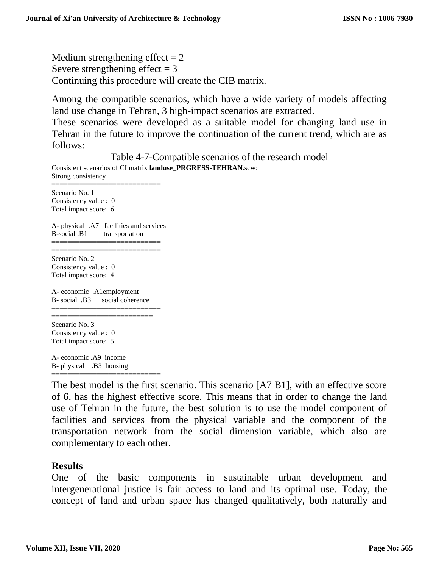Medium strengthening effect  $= 2$ Severe strengthening effect  $= 3$ Continuing this procedure will create the CIB matrix.

Among the compatible scenarios, which have a wide variety of models affecting land use change in Tehran, 3 high-impact scenarios are extracted.

These scenarios were developed as a suitable model for changing land use in Tehran in the future to improve the continuation of the current trend, which are as follows:

Consistent scenarios of CI matrix **landuse\_PRGRESS-TEHRAN**.scw: Strong consistency ============================ Scenario No. 1 Consistency value : 0 Total impact score: 6 --------------------------- A- physical .A7 facilities and services B-social .B1 transportation ===================== ============================ Scenario No. 2 Consistency value : 0 Total impact score: 4 --------------------------- A- economic .A1employment B- social .B3 social coherence =================================== ========================== Scenario No. 3 Consistency value : 0 Total impact score: 5 --------------------------- A- economic .A9 income B- physical .B3 housing =============================

Table 4-7-Compatible scenarios of the research model

The best model is the first scenario. This scenario [A7 B1], with an effective score of 6, has the highest effective score. This means that in order to change the land use of Tehran in the future, the best solution is to use the model component of facilities and services from the physical variable and the component of the transportation network from the social dimension variable, which also are complementary to each other.

## **Results**

One of the basic components in sustainable urban development and intergenerational justice is fair access to land and its optimal use. Today, the concept of land and urban space has changed qualitatively, both naturally and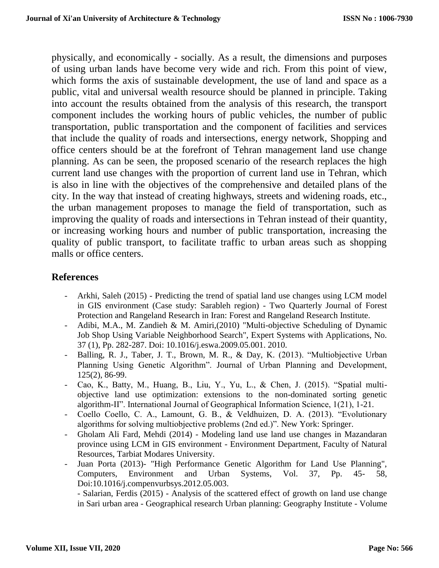physically, and economically - socially. As a result, the dimensions and purposes of using urban lands have become very wide and rich. From this point of view, which forms the axis of sustainable development, the use of land and space as a public, vital and universal wealth resource should be planned in principle. Taking into account the results obtained from the analysis of this research, the transport component includes the working hours of public vehicles, the number of public transportation, public transportation and the component of facilities and services that include the quality of roads and intersections, energy network, Shopping and office centers should be at the forefront of Tehran management land use change planning. As can be seen, the proposed scenario of the research replaces the high current land use changes with the proportion of current land use in Tehran, which is also in line with the objectives of the comprehensive and detailed plans of the city. In the way that instead of creating highways, streets and widening roads, etc., the urban management proposes to manage the field of transportation, such as improving the quality of roads and intersections in Tehran instead of their quantity, or increasing working hours and number of public transportation, increasing the quality of public transport, to facilitate traffic to urban areas such as shopping malls or office centers.

# **References**

- Arkhi, Saleh (2015) Predicting the trend of spatial land use changes using LCM model in GIS environment (Case study: Sarableh region) - Two Quarterly Journal of Forest Protection and Rangeland Research in Iran: Forest and Rangeland Research Institute.
- Adibi, M.A., M. Zandieh & M. Amiri,(2010) "Multi-objective Scheduling of Dynamic Job Shop Using Variable Neighborhood Search", Expert Systems with Applications, No. 37 (1), Pp. 282-287. Doi: 10.1016/j.eswa.2009.05.001. 2010.
- Balling, R. J., Taber, J. T., Brown, M. R., & Day, K. (2013). "Multiobjective Urban Planning Using Genetic Algorithm". Journal of Urban Planning and Development, 125(2), 86-99.
- Cao, K., Batty, M., Huang, B., Liu, Y., Yu, L., & Chen, J. (2015). "Spatial multiobjective land use optimization: extensions to the non-dominated sorting genetic algorithm-II". International Journal of Geographical Information Science, 1(21), 1-21.
- Coello Coello, C. A., Lamount, G. B., & Veldhuizen, D. A. (2013). "Evolutionary algorithms for solving multiobjective problems (2nd ed.)". New York: Springer.
- Gholam Ali Fard, Mehdi (2014) Modeling land use land use changes in Mazandaran province using LCM in GIS environment - Environment Department, Faculty of Natural Resources, Tarbiat Modares University.
- Juan Porta (2013)- "High Performance Genetic Algorithm for Land Use Planning", Computers, Environment and Urban Systems, Vol. 37, Pp. 45- 58, Doi:10.1016/j.compenvurbsys.2012.05.003.

- Salarian, Ferdis (2015) - Analysis of the scattered effect of growth on land use change in Sari urban area - Geographical research Urban planning: Geography Institute - Volume